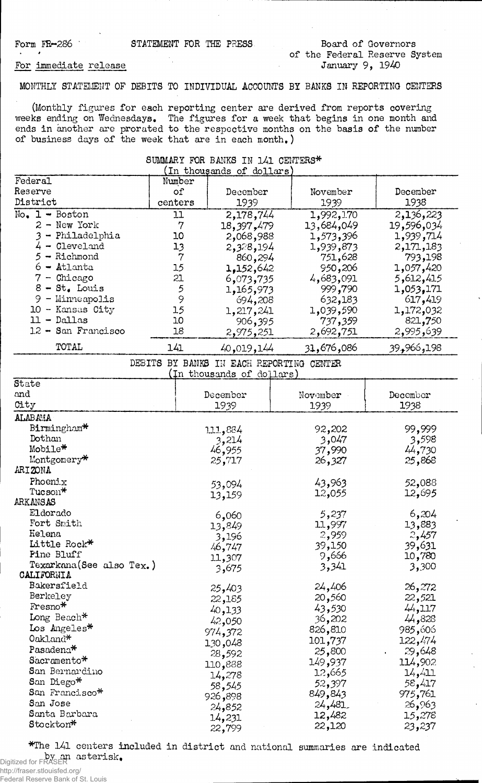\* \*

Form FR-286 STATEMENT FOR THE PRESS.

## **Board of Governors of the Federal Reserve System January 9, 1940**

## **For immediate release**

## **MONTHLY STATEMENT OF DEBITS TO INDIVIDUAL ACCOUNTS BY BANKS IN REPORTING CENTERS**

**(Monthly figures for each reporting center are derived from reports covering weeks ending on Wednesdays. The figures for a week that begins in one month and ends in another are prorated to the respective months on the basis of the number of business days of the week that are in each month,)**

**SUMMARY FOR BANKS IN 141 CENTERS\***

| In thousands of dollars   |                |                                                                |            |                          |  |
|---------------------------|----------------|----------------------------------------------------------------|------------|--------------------------|--|
| Federal                   | Number         |                                                                |            |                          |  |
| Reserve                   | of             | December                                                       | November   | December                 |  |
| District                  | centers        | 1939                                                           | 1939       | 1938                     |  |
| $No. 1 - Boston$          | 11             | 2,178,744                                                      | 1,992,170  | 2,136,223                |  |
| 2 - New York              | $\overline{7}$ | 18,397,479                                                     | 13,684,049 | 19,596,034               |  |
| - Philadelphia            | 10             | 2,068,988                                                      | 1,573,396  | 1,939,714                |  |
| $4 -$ Cleveland           | 13             | 2,328,194                                                      | 1,939,873  | 2,171,183                |  |
| - Richmond<br>5           | $\overline{7}$ | 860,294                                                        | 751,628    | 793,198                  |  |
| Atlanta                   | 15             | 1,152,642                                                      | 950,206    | 420, 057, 1 <sub>9</sub> |  |
| - Chicago<br>7            | 21             | 6,073,735                                                      | 4,683,091  | 5,612,415                |  |
| $8 - St_{\bullet}$ Louis  | 5              | 1,165,973                                                      | 999,790    | 1,053,171                |  |
| 9<br>$-$ Minneapolis      | 9              |                                                                |            | 617,419                  |  |
| 10 - Kansas City          | 15             | 694,208                                                        | 632,183    |                          |  |
| $11 - Dallas$             | 10             | 1,217,241                                                      | 1,039,590  | 1,172,032                |  |
| 12 - San Francisco        |                | 906,395                                                        | 737,359    | 821,750                  |  |
|                           | 18             | 2,975,251                                                      | 2,692,751  | 2,995,639                |  |
| TOTAL                     | 141            | 40,019,144                                                     | 31,676,086 | 198, 966, 39             |  |
| DEBITS                    |                | BY BANKS IN EACH REPORTING CENTER<br>(In thousands of dollars) |            |                          |  |
| State                     |                |                                                                |            |                          |  |
| and                       |                | December                                                       | November   | December                 |  |
| City                      |                | 1939                                                           | 1939       | 1938                     |  |
| <b>ALABAMA</b>            |                |                                                                |            |                          |  |
| Birmingham*               |                | 111,884                                                        | 92,202     | 99,999                   |  |
| Dothan                    |                | 3,214                                                          | 3,047      | 3,598                    |  |
| Mobile*                   |                | 46,955                                                         | 37,990     | 44,730                   |  |
| Montgomery*               |                | 25,717                                                         | 26,327     | 25,868                   |  |
| ARIZONA                   |                |                                                                |            |                          |  |
| Phoenix                   |                | 53,094                                                         | 43,963     | 52,088                   |  |
| Tucson*                   |                | 13,159                                                         | 12,055     | 12,695                   |  |
| ARKANSAS                  |                |                                                                |            |                          |  |
| Eldorado                  |                | 6,060                                                          | 5,237      | 6,204                    |  |
| Fort Smith                |                | 13,849                                                         | 11,997     | 13,883                   |  |
| <b>Helena</b>             |                | 3,196                                                          | 2,959      | 2,457                    |  |
| Little Rock*              |                |                                                                | 39,150     | 39,631                   |  |
| Pine Bluff                |                | 46,747                                                         | 9,666      | 10,780                   |  |
| Texarkana (See also Tex.) |                | 11,307                                                         | 3,341      | 3,300                    |  |
| CALIFORNIA                |                | 3,675                                                          |            |                          |  |
| Bakersfield               |                | 25,403                                                         | 24,406     | 26,272                   |  |
| Berkeley                  |                | 22,185                                                         | 20,560     | 22,521                   |  |
| $Fresno*$                 |                | 40,133                                                         | 43,530     | 44,117                   |  |
| Long Beach*               |                | 42,050                                                         | 36,202     | 44,828                   |  |
| Los Angeles*              |                | 974 <b>,</b> 372                                               | 826,810    | 985,606                  |  |
| Oakland*                  |                |                                                                | 101,737    | 122,474                  |  |
| Pasadena <sup>*</sup>     |                | 130,048                                                        | 25,800     | 29,648                   |  |
| Sacramento*               |                | 28,592                                                         | 149,937    | 114,902                  |  |
| San Bernardino            |                | 110,888                                                        | 12,665     | 14,411                   |  |
| San Diego*                |                | 14,278                                                         | 52,397     | 58,417                   |  |
| San Francisco*            |                | 58,545                                                         | 849,843    |                          |  |
| San Jose                  |                | 926,898                                                        |            | 975,761                  |  |
| Santa Barbara             |                | 24,852                                                         | 24,481     | 26,963                   |  |
| Stockton*                 |                | 14,231                                                         | 12,482     | 15,278                   |  |
|                           |                | 22,799                                                         | 22,120     | 23,237                   |  |

**\*The 141 centers included in district and national summaries are indicated by an asterisk.** Digitized for FRASER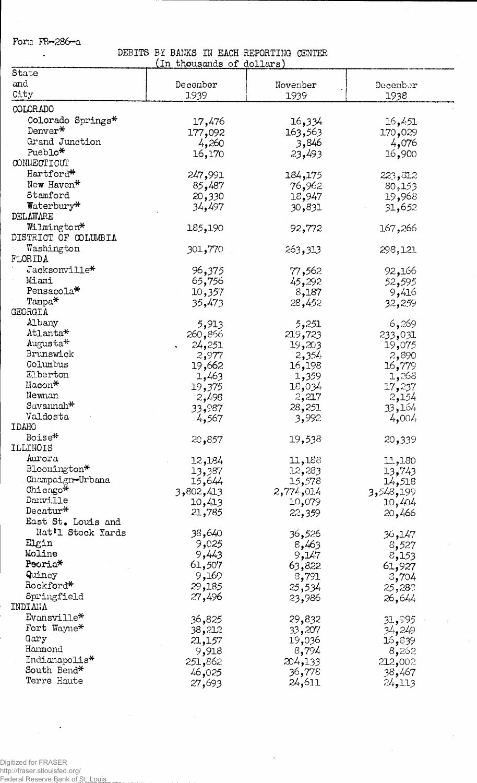**Fora FR—286-a**  $\bullet$ 

**DEBITS BY BANKS IN EACH REPORTING CENTER (in thousands of dollars)**

| State                |           |           |           |
|----------------------|-----------|-----------|-----------|
| and                  | December  | November  | December  |
| City                 | 1939      | 1939      | 1938      |
| COLORADO             |           |           |           |
| Colorado Springs*    | 17,476    | 16,334    | 16,451    |
| Denver*              |           | 163,563   | 170,029   |
| Grand Junction       | 177,092   |           |           |
| Pueblo*              | 4,260     | 3,846     | 4,076     |
| CONNECTICUT          | 16,170    | 23,493    | 16,900    |
|                      |           |           |           |
| Hartford*            | 247,991   | 184,175   | 223,812   |
| New Haven*           | 85,487    | 76,962    | 80,153    |
| Stamford             | 20,330    | 18,947    | 19,968    |
| Waterbury*           | 34,497    | 30,831    | 31,652    |
| DELAWARE             |           |           |           |
| Wilmington*          | 185,190   | 92,772    | 167,266   |
| DISTRICT OF COLUMBIA |           |           |           |
| Washington           | 301,770   | 263,313   | 298,121   |
| FLORIDA              |           |           |           |
| Jacksonville*        | 96,375    | 77,562    | 92,166    |
| Miami                | 65,756    | 45,292    | 52,595    |
| Pensacola*           | 10,357    | 8,187     | 9,416     |
| $Tampa*$             | 35,473    | 28,452    | 32,259    |
| GEORGIA              |           |           |           |
| Albany               | 5,913     | 5,251     | 6,269     |
| Atlanta*             | 260,856   | 219,723   | 233,031   |
| $\text{Augusta*}$    | 24,251    | 19,203    | 19,075    |
| Brunswick            | 2,977     | 2,354     | 2,890     |
| Columbus             | 19,662    | 16,198    | 16,779    |
| Elberton             | 1,463     | 1,359     | 1,268     |
| Macon*               | 19,375    | 18,034    | 17,237    |
| Newnan               | 2,498     | 2,217     | 2,154     |
| Savannah*            | 33,987    | 28,251    | 33,164    |
| Valdosta             | 4,567     | 3,992     | 4,004     |
| IDAHO                |           |           |           |
| Boise*               | 20,857    | 19,538    | 20,339    |
| ILLINOIS             |           |           |           |
| Aurora               | 12,184    | 11,188    | 11,130    |
| Bloomington*         | 13,387    | 12,283    | 13,743    |
| Champaign-Urbana     | 15,644    | 15,578    | 14,518    |
| Chicago*             | 3,802,413 | 2,774,014 | 3,548,199 |
| Danville             | 10,413    | 10,079    | 10,404    |
| Decatur $*$          | 21,785    | 22,359    | 20,466    |
| East St. Louis and   |           |           |           |
| Nat'l Stock Yards    | 38,640    | 36,526    | 147و 36   |
| Elgin                | 9,025     | 8,463     | 8,527     |
| Moline               | 9,443     | 9,147     | 8,153     |
| Peoria*              | 61,507    | 63,822    | 61,927    |
| Quincy               | 9,169     | 8,791     | 3,704     |
| Rockford*            | 29,185    | 25,534    | 25,280    |
| Springfield          | 27,496    | 23,986    | 26,644    |
| INDIVAY              |           |           |           |
| Evansville*          | 36,825    | 29,832    | 31,995    |
| Fort Wayne*          | 38,212    | 33,207    | 34,249    |
| Gary                 | 21,157    | 19,036    | 39, 16    |
| Hammond              | 9,918     | 8,794     | 8,262     |
| Indianapolis*        | 251,862   | 204,133   | 212,002   |
| South Bend*          | 46,025    | 36,778    | 38,467    |
| Terre Haute          | 27,693    | 24,611    | 24,113    |
|                      |           |           |           |

 $\epsilon$ 

 $\sim$ 

 $\sim$ 

 $\Delta$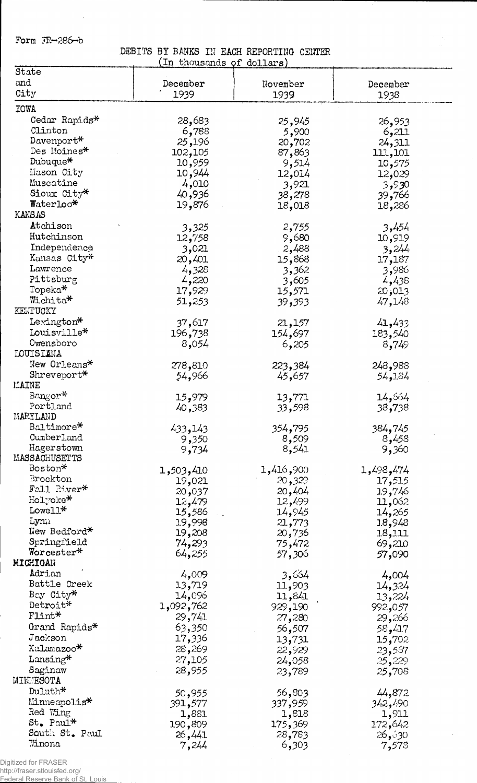**Form FR~2S6-b**

 $\mathcal{L}$ 

**DEBITS BY BANKS IN EACH REPORTING CENTER (In thousands of dollars)**

| State          | answeighter de actroned |                  |                 |
|----------------|-------------------------|------------------|-----------------|
| and            |                         |                  |                 |
|                | December                | November         | December        |
| City           | 1939                    | 1939             | 1938            |
| <b>IOWA</b>    |                         |                  |                 |
| Cedar Rapids*  |                         |                  |                 |
|                | 28,683                  | 25,945           | 26,953          |
| Clinton        | 6,788                   | 5,900            | 6,211           |
| $Davenport*$   | 25,196                  | 20,702           | 24,311          |
| Des Moines*    | 102,105                 | 87,863           | 111,101         |
| Dubuque*       | 10,959                  | 9,514            | 10,575          |
| Mason City     | 10,944                  |                  |                 |
| Muscatine      |                         | 12,014           | 12,029          |
|                | 4,010                   | 3,921            | 3,930           |
| Sioux City*    | 40,936                  | 38,278           | 39 <b>,</b> 766 |
| Waterloo*      | 19,876                  | 18,018           | 18,236          |
| <b>KANSAS</b>  |                         |                  |                 |
| Atchison       | 3,325                   | 2,755            | 3,454           |
| Hutchinson     |                         |                  |                 |
|                | 12,758                  | 9,680            | 10,919          |
| Independence   | 3,021                   | 2,488            | 3,244           |
| Kansas City*   | 20,401                  | 15,868           | 17,187          |
| Lawrence       | 4,328                   | 3,362            | 3,986           |
| Pittsburg      | 4,220                   | 3,605            | 4,438           |
| Topeka*        | 17,929                  | 15,571           | 20,013          |
| Wichita*       |                         |                  |                 |
| KENTUCKY       | 51,253                  | 39,393           | 47,148          |
|                |                         |                  |                 |
| Lexington*     | 37,617                  | 21,157           | 41,433          |
| Louisville*    | 196,738                 | 154,697          | 183,540         |
| Owensboro      | 8,054                   | 6,205            | 8,749           |
| LOUISIANA      |                         |                  |                 |
| New Orleans*   | 278,810                 |                  | 248,988         |
| Shreveport*    |                         | 223,384          |                 |
|                | 54,966                  | 45,657           | 54,184          |
| MAINE          |                         |                  |                 |
| Bangor*        | 15,979                  | 13,771           | 14,564          |
| Portland       | 40,383                  | 33,598           | 38,738          |
| MARYLAND       |                         |                  |                 |
| Baltimore*     | 433,143                 | 354 <b>,</b> 795 | 384,745         |
| Cumberland     | 9,350                   | 8,509            | 8,458           |
| Hagerstown     |                         |                  |                 |
| MASSACHUSETTS  | 9,734                   | 8,541            | 9,360           |
|                |                         |                  |                 |
| Boston*        | 1,503,410               | 1,416,900        | 1,498,474       |
| Brockton       | 19,021                  | 20,329           | 17,515          |
| Fall River*    | 20,037                  | 20,404           | 19,746          |
| Holyoke*       | 12,479                  | 12,499           | 11,062          |
| Lowell*        | 15,586                  | 14,945           | 14,265          |
| Lym            |                         |                  |                 |
| New Bedford*   | 19,998                  | 21,773           | 18,943          |
|                | 19,208                  | 20,736           | 18,111          |
| Springfield    | 74,293                  | 75,472           | 69,210          |
| Worcester*     | 64,255                  | 57,306           | 57,090          |
| MICHIGAN       |                         |                  |                 |
| Adrian         | 4,009                   | 3,664            | 4,004           |
| Battle Creek   | 13,719                  | 11,903           | 14,324          |
| Bay City*      | 14,096                  | 11,841           |                 |
| Detroit*       |                         |                  | 13,224          |
|                | 1,092,762               | 929,190          | 992,057         |
| Flint*         | 29,741                  | 27,280           | 29,266          |
| Grand Rapids*  | 63,350                  | 56,507           | 58,417          |
| Jackson        | 17,336                  | 13,731           | 15,702          |
| Kalamazoo*     | 28,269                  | 22,929           | 23,557          |
| Lansing*       | 27,105                  |                  |                 |
|                |                         | 24,058           | 25,229          |
| Saginaw        | 28,955                  | 23,789           | 25,708          |
| MINNESOTA      |                         |                  |                 |
| Duluth*        | 50,955                  | 56,803           | 44,872          |
| Minneapolis*   | 391,577                 | 337,959          | 342,490         |
| Red Wing       | 1,881                   | 1,818            | 1,911           |
| St. Paul*      | 190,809                 | 175,369          | 172,642         |
| South St. Paul |                         |                  |                 |
| Winona         | 26,441                  | 28,783           | 36٫ۇ26          |
|                | 7,244                   | 6,303            | 7,573           |

Digitized for FRASER

http://fraser.stlouisfed.org/ Federal Reserve Bank of St. Louis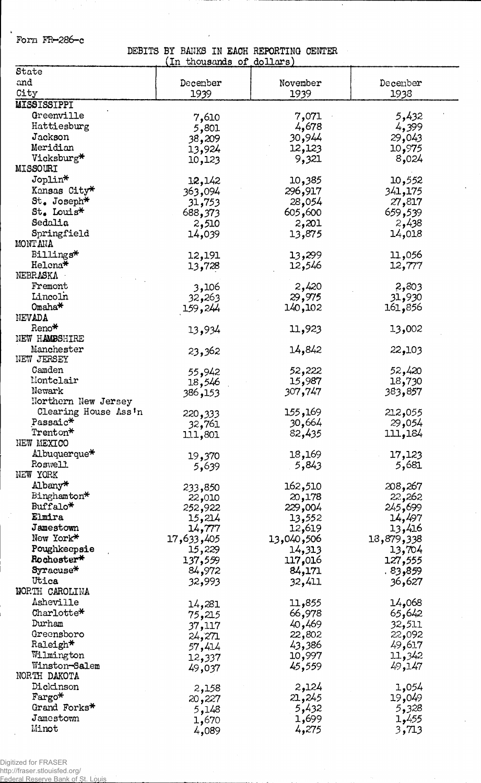**Form FR-286-c**

\$

**DEBITS BY BANKS IN EACH REPORTING CENTER (In thousands of dollars)**

| State                  | which ment of | u          |            |
|------------------------|---------------|------------|------------|
| and                    | December      | November   | Decenber   |
| City                   | 1939          | 1939       | 1938       |
| <b>MISSISSIPPI</b>     |               |            |            |
| Greenville             |               | 7,071      | 5,432      |
| Hattiesburg            | 7,610         | 4,678      | 4,399      |
| Jackson                | 5,801         | 30,944     | 29,043     |
| Meridian               | 38,209        |            |            |
| Vicksburg*             | 13,924        | 12,123     | 10,975     |
| <b>MISSOURI</b>        | 10,123        | 9,321      | 8,024      |
| Joplin*                |               |            |            |
|                        | 12,142        | 10,385     | 10,552     |
| Kansas City*           | 363,094       | 296,917    | 341,175    |
| $St_{\bullet}$ Joseph* | 31,753        | 28,054     | 27,817     |
| St. Louis*             | 688,373       | 605,600    | 659,539    |
| Sedalia                | 2,510         | 2,201      | 2,438      |
| Springfield            | 14,039        | 13,875     | 14,018     |
| MONT ANA               |               |            |            |
| Billings*              | 12,191        | 13,299     | 11,056     |
| Helena*                | 13,728        | 12,546     | 12,777     |
| NEBRASKA               |               |            |            |
| Fremont                | 3,106         | 2,420      | 2,803      |
| Lincoln                | 32,263        | 29,975     | 31,930     |
| Omaha*                 | 159,244       | 140,102    | 161,856    |
| NEVADA                 |               |            |            |
| Reno*                  | 13,934        | 11,923     | 13,002     |
| NEW HAMBSHIRE          |               |            |            |
| Manchester             | 23,362        | 14,842     | 22,103     |
| NEW JERSEY             |               |            |            |
| Camden                 | 55,942        | 52,222     | 52,420     |
| Montclair              | 18,546        | 15,987     | 18,730     |
| Newark                 | 386,153       | 307,747    | 383,857    |
| Northern New Jersey    |               |            |            |
| Clearing House Ass'n   | 220,333       | 155,169    | 212,055    |
| Passaic*               | 32,761        | 30,664     | 29,054     |
| Trenton*               | 111,801       | 82,435     | 111,184    |
| NEW MEXICO             |               |            |            |
| Albuquerque*           | 19,370        | 18,169     | 17,123     |
| Roswell                | 5,639         | 5,843      | 5,681      |
| NEW YORK               |               |            |            |
| Albany*                | 233,850       | 162,510    | 208,267    |
| Binghamton*            | 22,010        | 20,178     | 22,262     |
| Buffalo*               | 252,922       | 229,004    | 245,699    |
| Elmira                 | 15,214        | 13,552     | 14,497     |
| Jamestown              | 14,777        | 12,619     | 13,416     |
| New York*              | 17,633,405    | 13,040,506 | 13,879,338 |
| Poughkeepsie           | 15,229        | 14,313     | 13,704     |
| Rochester*             | 137,559       | 117,016    | 127,555    |
| $Syracuse*$            | 84,972        | 84,171     | . 83,859   |
| Utica                  | 32,993        | 32,411     | 36,627     |
| <b>NORTH CAROLINA</b>  |               |            |            |
| Asheville              | 14,281        | 11,855     | 14,068     |
| Charlotte*             | 75,215        | 66,978     | 65,642     |
| Durham                 | 37,117        | 40,469     | 32,511     |
| Greensboro             | 24,271        | 22,802     | 22,092     |
| Raleigh*               | 57,414        | 43,386     | 49,617     |
| Wilmington             | 12,337        | 10,997     | 11,342     |
| Winston-Salem          | 49,037        | 45,559     | 49,147     |
| NORTH DAKOTA           |               |            |            |
| Dickinson              | 2,158         | 2,124      | 1,054      |
| Fargo*                 | 20,227        | 21,245     | 19,049     |
| Grand Forks*           | 5,148         | 5,432      | 5,328      |
| Jamestown              | 1,670         | 1,699      | 1,455      |
| Minot                  | 4,089         | 4,275      | 3,713      |

Digitized for FRASER http://fraser.stlouisfed.org/

Federal Reserve Bank of St. Louis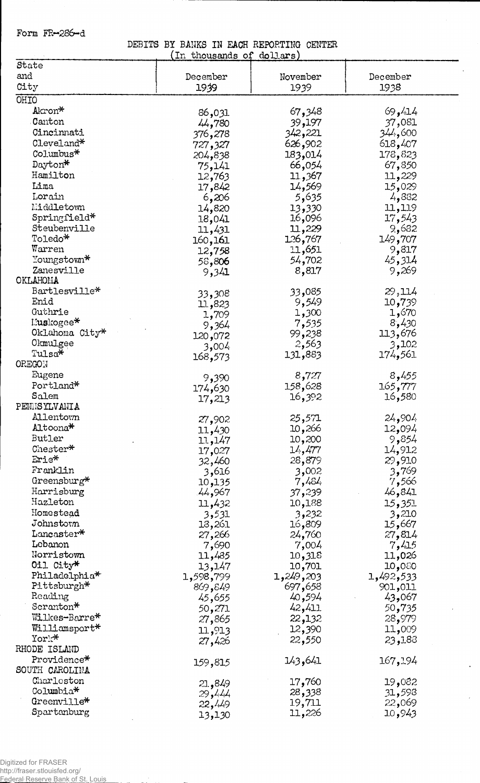**Form FR-286-d**

**DEBITS BY BANKS IN EACH REPORTING CENTER (In thousands** *oi* **dollars)**

 $\ddot{\phantom{0}}$ 

 $\mathcal{L}^{\pm}$ 

 $\epsilon$ 

| In thousands of dollars) |                  |                     |                     |  |  |
|--------------------------|------------------|---------------------|---------------------|--|--|
| State                    |                  |                     |                     |  |  |
| and                      | December         | November            | December            |  |  |
| City                     | 1939             | 1939                | 1938                |  |  |
| OHIO                     |                  |                     |                     |  |  |
| Akron*                   | 86,031           | 67,348              | 69,414              |  |  |
| Canton                   | 44,780           | 39,197              | 37,081              |  |  |
| Cincinnati               | 376,278          | 342,221             | 600, 244            |  |  |
| Cleveland*               | 727,327          | 626,902             | 618,407             |  |  |
| $\text{Columbus*}$       | 204,838          | 183,014             | 178,823             |  |  |
| Dayton*                  |                  | 66,054              | 67,850              |  |  |
| Hamilton                 | 75,141           | 11,367              | 11,229              |  |  |
| Lima                     | 12,763           | 14,569              | 15,029              |  |  |
| Lorain                   | 17,842<br>6,206  | 5,635               | 4,832               |  |  |
| Middletown               |                  | 13,330              | 11,119              |  |  |
| $Springfield*$           | 14,820           | 16,096              | 17,543              |  |  |
| Steubenville             | 18,041           | 11,229              | 9,682               |  |  |
| Toledo*                  | 11,431           | 126,767             | 149,707             |  |  |
| Warren                   | 160,161          | 11,651              | 9,817               |  |  |
| Youngstown*              | 12,758           | 54,702              | 45,314              |  |  |
| Zanesville               | 58,806           | 8,817               | 9,269               |  |  |
| OKLAHOMA                 | 9,341            |                     |                     |  |  |
| Bartlesville*            |                  | 33,085              | 29,114              |  |  |
| Enid                     | 33,308           | 9,549               | 10,739              |  |  |
| Guthrie                  | 11,823           |                     | 1,670               |  |  |
| Muskogee*                | 1,709            | 1,300               | 8,430               |  |  |
| Oklahoma City*           | 9,364            | 7,535<br>99,238     | 113,676             |  |  |
| Okmulgee                 | 120,072          | 2,563               | 3,102               |  |  |
| Tulsa*                   | 3,004            | 131,883             | 174,561             |  |  |
| <b>OREGON</b>            | 168,573          |                     |                     |  |  |
| Eugene                   |                  | 8,727               | 8,455               |  |  |
| Portland*                | 9,390            | 158,628             | 165,777             |  |  |
| Salem                    | 174,630          | 16,392              | 16,580              |  |  |
| PENNSYLVANIA             | 17,213           |                     |                     |  |  |
| Allentown                |                  | 25,571              | 24,904              |  |  |
| Altoona*                 | 27,902           | 10,266              | 12,094              |  |  |
| Butler                   | 11,430           | 10,200              | 9,854               |  |  |
| Chester*                 | 11,147           | 14,477              | 14,912              |  |  |
| Erie*                    | 17,027<br>32,460 | 28,879              | 29,910              |  |  |
| Franklin                 | 3,616            | 3,002               | 3,769               |  |  |
| Greensburg*              | 10,135           | 7,484               | 7,566               |  |  |
| Harrisburg               | 44,967           | 37,239              | 46,841              |  |  |
| Hazleton                 |                  |                     |                     |  |  |
| Homestead                | 11,432           | 10,188              | 15,351<br>3,210     |  |  |
| Johnstorm                | 3,531            | 3,232<br>16,809     |                     |  |  |
| $Lancaster*$             | 13,261           |                     | 15,667              |  |  |
| Lebanon                  | 27,266           | 24,760              | 27,814              |  |  |
| Norristown               | 7,690            | 7,004<br>10,318     | 7,415               |  |  |
| 011 City*                | 11,485           |                     | 11,026              |  |  |
| Philadelphia*            | 13,147           | 10,701<br>1,249,203 | 080و10<br>1,492,533 |  |  |
| Pittsburgh*              | 1,598,799        | 697,658             | 901,011             |  |  |
| Reading                  | 869,849          |                     | 43,067              |  |  |
| Scranton*                | 45,655           | 40,594<br>42,411    | 50,735              |  |  |
| Wilkes-Barre*            | 50,271           |                     |                     |  |  |
| Williamsport*            | 27,865           | 22,132              | 28,979              |  |  |
| York*                    | 11,913           | 12,390<br>22,550    | 11,009<br>23,188    |  |  |
| RHODE ISLAND             | 27,426           |                     |                     |  |  |
| Providence*              |                  | 143,641             | 167,194             |  |  |
| SOUTH CAROLINA           | 159,815          |                     |                     |  |  |
| Charleston               |                  |                     |                     |  |  |
| Columbia*                | 21,849           | 17,760              | 19,082<br>31,598    |  |  |
| Greenville*              | 29,444           | 28,338<br>19,711    | 22,069              |  |  |
| Spartanburg              | 22,449           | 11,226              | 10,943              |  |  |
|                          | 13,130           |                     |                     |  |  |